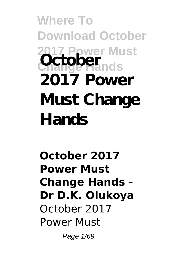**Where To Download October 2017 Power Must Change Hands October 2017 Power Must Change Hands**

**October 2017 Power Must Change Hands - Dr D.K. Olukoya** October 2017 Power Must

Page 1/69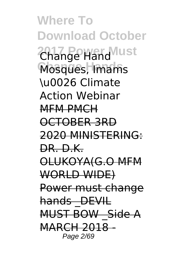**Where To Download October 2017 Power Must** Change Hand **Change Hands** Mosques, Imams \u0026 Climate Action Webinar MFM PMCH OCTOBER 3RD 2020 MINISTERING: DR. D.K. OLUKOYA(G.O MFM WORLD WIDE) Power must change hands DEVIL MUST BOW Side A MARCH 2018 - Page 2/69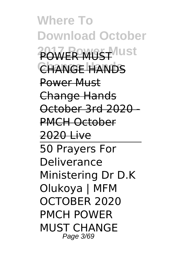**Where To Download October 2017 Power Must** POWER MUST **Change Hands** CHANGE HANDS Power Must Change Hands October 3rd 2020 - PMCH October 2020 Live 50 Prayers For Deliverance Ministering Dr D.K Olukoya | MFM OCTOBER 2020 PMCH POWER MUST CHANGE Page 3/69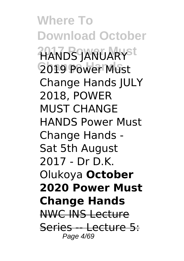**Where To Download October 2017 Power Must** HANDS JANUARY **Change Hands** 2019 Power Must Change Hands JULY 2018, POWER MUST CHANGE HANDS Power Must Change Hands - Sat 5th August 2017 - Dr D.K. Olukoya **October 2020 Power Must Change Hands** NWC INS Lecture Series -- Lecture 5: Page 4/69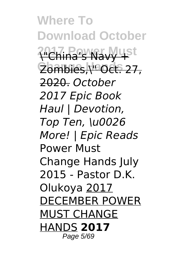**Where To Download October 2017 Power Must** \"China's Navy + **Change Hands** Zombies,\" Oct. 27, 2020. *October 2017 Epic Book Haul | Devotion, Top Ten, \u0026 More! | Epic Reads* Power Must Change Hands July 2015 - Pastor D.K. Olukoya 2017 DECEMBER POWER MUST CHANGE HANDS **2017** Page 5/69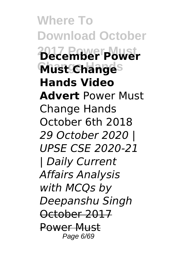**Where To Download October 2017 Power Must December Power Must Changes Hands Video Advert** Power Must Change Hands October 6th 2018 *29 October 2020 | UPSE CSE 2020-21 | Daily Current Affairs Analysis with MCQs by Deepanshu Singh* October 2017 Power Must Page 6/69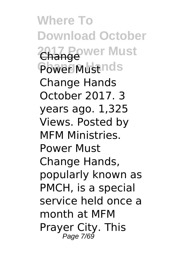**Where To Download October** 2017 Power Must Power Must nds Change Hands October 2017. 3 years ago. 1,325 Views. Posted by MFM Ministries. Power Must Change Hands, popularly known as PMCH, is a special service held once a month at MFM Prayer City. This Page 7/69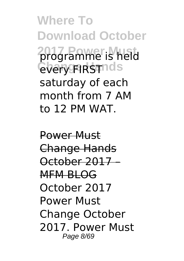**Where To Download October 2017 Power Must** programme is held **Chary FIRSTING** saturday of each month from 7 AM to 12 PM WAT.

Power Must Change Hands October 2017 – MFM BLOG October 2017 Power Must Change October 2017. Power Must Page 8/69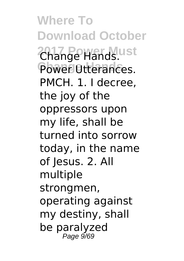**Where To Download October 2017 Power Must** Change Hands. Power Utterances. PMCH. 1. I decree, the joy of the oppressors upon my life, shall be turned into sorrow today, in the name of Jesus. 2. All multiple strongmen, operating against my destiny, shall be paralyzed Page 9/69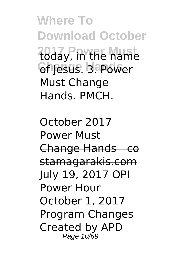**Where To Download October 2017 Power Must** today, in the name **Ch Jesus. Bapower** Must Change Hands. PMCH.

October 2017 Power Must Change Hands - co stamagarakis.com July 19, 2017 OPI Power Hour October 1, 2017 Program Changes Created by APD Page 10/69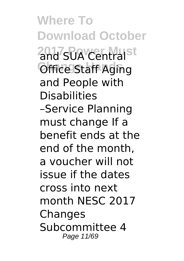**Where To Download October** 2017 SUA Central<sup>st</sup> **Office Staff Aging** and People with Disabilities –Service Planning must change If a benefit ends at the end of the month, a voucher will not issue if the dates cross into next month NESC 2017 **Changes** Subcommittee 4 Page 11/69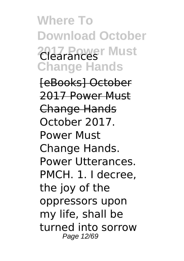**Where To Download October 2017 Power Must** Clearances **Change Hands**

[eBooks] October 2017 Power Must Change Hands October 2017. Power Must Change Hands. Power Utterances. PMCH. 1. I decree, the joy of the oppressors upon my life, shall be turned into sorrow Page 12/69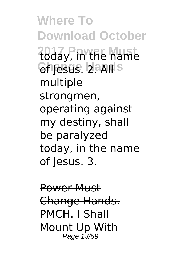**Where To Download October 2017 Power Must** today, in the name **Ghresus. Lands** multiple strongmen, operating against my destiny, shall be paralyzed today, in the name of Jesus. 3.

Power Must Change Hands. PMCH. I Shall Mount Up With Page 13/69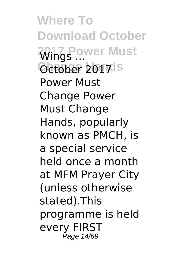**Where To Download October 2017 Power Must** Wings ... October 2017<sup>Is</sup> Power Must Change Power Must Change Hands, popularly known as PMCH, is a special service held once a month at MFM Prayer City (unless otherwise stated).This programme is held every FIRST Page 14/69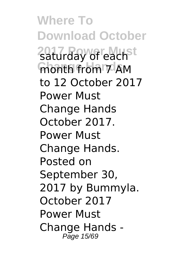**Where To Download October 2017 Power Must** saturday of each **month from 7 AM** to 12 October 2017 Power Must Change Hands October 2017. Power Must Change Hands. Posted on September 30, 2017 by Bummyla. October 2017 Power Must Change Hands - Page 15/69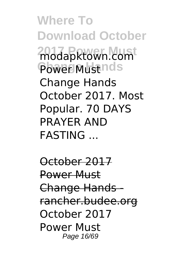**Where To Download October 2017 Power Must** modapktown.com Power Must nds Change Hands October 2017. Most Popular. 70 DAYS PRAYER AND FASTING ...

October 2017 Power Must Change Hands rancher.budee.org October 2017 Power Must Page 16/69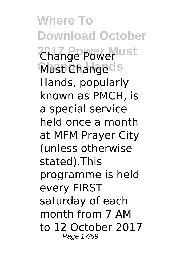**Where To Download October** 2017 Power ust **Must Changeds** Hands, popularly known as PMCH, is a special service held once a month at MFM Prayer City (unless otherwise stated).This programme is held every FIRST saturday of each month from 7 AM to 12 October 2017 Page 17/69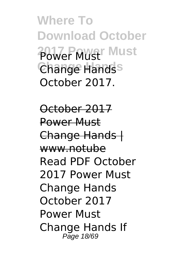**Where To Download October 2017 Power Must** Power Must **Change Hands** Change Hands October 2017.

October 2017 Power Must Change Hands | www.notube Read PDF October 2017 Power Must Change Hands October 2017 Power Must Change Hands If Page 18/69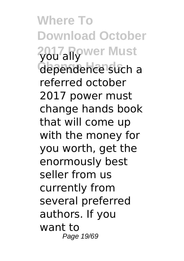**Where To Download October** 2017<sub>all</sub>ywer Must **Change Hands** dependence such a referred october 2017 power must change hands book that will come up with the money for you worth, get the enormously best seller from us currently from several preferred authors. If you want to Page 19/69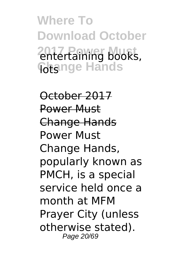**Where To Download October 2017 Power Must** entertaining books, **Cotsinge Hands** 

October 2017 Power Must Change Hands Power Must Change Hands, popularly known as PMCH, is a special service held once a month at MFM Prayer City (unless otherwise stated). Page 20/69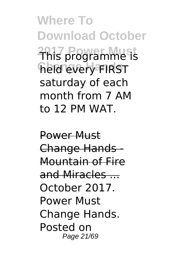**Where To Download October 2017 Power Must** This programme is **Change Hands** held every FIRST saturday of each month from 7 AM to 12 PM WAT.

Power Must Change Hands - Mountain of Fire and Miracles ... October 2017. Power Must Change Hands. Posted on Page 21/69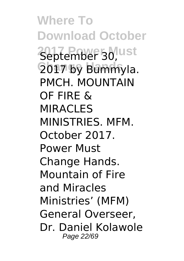**Where To Download October 2017 Power Must** September 30, **Change Hands** 2017 by Bummyla. PMCH. MOUNTAIN OF FIRE & MIRACI FS MINISTRIES. MFM. October 2017. Power Must Change Hands. Mountain of Fire and Miracles Ministries' (MFM) General Overseer, Dr. Daniel Kolawole Page 22/69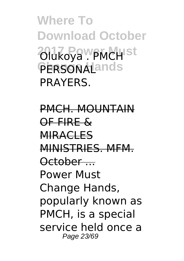**Where To Download October** 2017 Rock PMCH<sup>st</sup> **PERSONALands** PRAYERS.

PMCH. MOUNTAIN OF FIRE & **MIRACLES** MINISTRIES. MFM. October ... Power Must Change Hands, popularly known as PMCH, is a special service held once a Page 23/69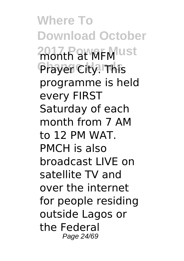**Where To Download October** 2007th at MFM ust Prayer City. This programme is held every FIRST Saturday of each month from 7 AM to 12 PM WAT. PMCH is also broadcast LIVE on satellite TV and over the internet for people residing outside Lagos or the Federal Page 24/69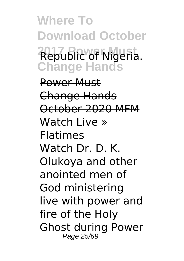**Where To Download October 2017 Power Must** Republic of Nigeria. **Change Hands**

Power Must Change Hands October 2020 MFM Watch Live » Flatimes Watch Dr. D. K. Olukoya and other anointed men of God ministering live with power and fire of the Holy Ghost during Power Page 25/69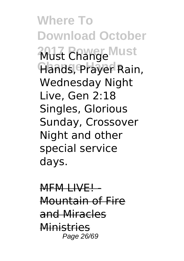**Where To Download October 2017 Change Must Change Hands** Hands, Prayer Rain, Wednesday Night Live, Gen 2:18 Singles, Glorious Sunday, Crossover Night and other special service days.

MFM LIVE! Mountain of Fire and Miracles **Ministries** Page 26/69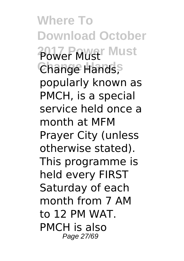**Where To Download October 2017 Power Must** Power Must **Change Hands** Change Hands, popularly known as PMCH, is a special service held once a month at MFM Prayer City (unless otherwise stated). This programme is held every FIRST Saturday of each month from 7 AM to 12 PM WAT. PMCH is also Page 27/69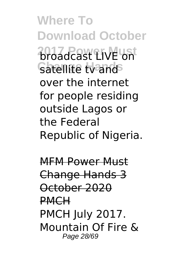**Where To Download October 2017 Power Must** broadcast LIVE on Satellite tv and<sup>S</sup> over the internet for people residing outside Lagos or the Federal Republic of Nigeria.

MFM Power Must Change Hands 3 October 2020 PMCH PMCH July 2017. Mountain Of Fire & Page 28/69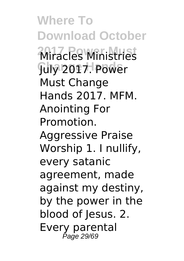**Where To Download October 2017 Power Must** Miracles Ministries **Change Hands** July 2017. Power Must Change Hands 2017. MFM. Anointing For Promotion. Aggressive Praise Worship 1. I nullify, every satanic agreement, made against my destiny, by the power in the blood of Jesus. 2. Every parental Page 29/69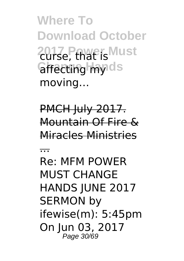**Where To Download October 2017<sub>e</sub>, that is Must** *<u>affecting</u>* myids moving…

PMCH July 2017. Mountain Of Fire & Miracles Ministries

...

Re: MFM POWER MUST CHANGE HANDS JUNE 2017 SERMON by ifewise(m): 5:45pm On Iun 03, 2017 Page 30/69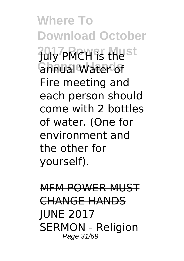**Where To Download October 2017 Power Must** July PMCH is the **Change Hands** annual Water of Fire meeting and each person should come with 2 bottles of water. (One for environment and the other for yourself).

MFM POWER MUST CHANGE HANDS **HUNE 2017** SERMON - Religion Page 31/69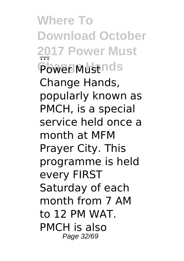**Where To Download October 2017 Power Must** ... Power Must nds Change Hands, popularly known as PMCH, is a special service held once a month at MFM Prayer City. This programme is held every FIRST Saturday of each month from 7 AM to 12 PM WAT. PMCH is also Page 32/69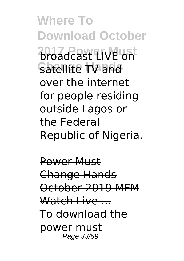**Where To Download October 2017 Power Must** broadcast LIVE on **Change Hands** satellite TV and over the internet for people residing outside Lagos or the Federal Republic of Nigeria.

Power Must Change Hands October 2019 MFM Watch Live To download the power must Page 33/69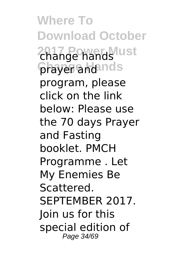**Where To Download October** 2017 Powerds ust **prayer and nds** program, please click on the link below: Please use the 70 days Prayer and Fasting booklet. PMCH Programme . Let My Enemies Be Scattered. SEPTEMBER 2017. Join us for this special edition of Page 34/69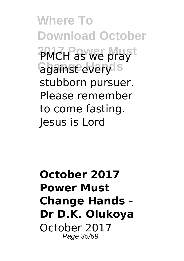**Where To Download October 2017 Power Must** PMCH as we pray **Ggainst everyls** stubborn pursuer. Please remember to come fasting. Jesus is Lord

**October 2017 Power Must Change Hands - Dr D.K. Olukoya** October 2017 Page 35/69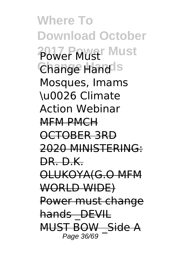**Where To Download October 2017 Power Must** Power Must **Change Hands** Change Hand Mosques, Imams \u0026 Climate Action Webinar MFM PMCH OCTOBER 3RD 2020 MINISTERING: DR. D.K. OLUKOYA(G.O MFM WORLD WIDE) Power must change hands DEVIL MUST BOW Side A Page 36/69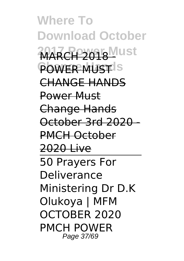**Where To Download October MARCH 2018 Must POWER MUST**IS CHANGE HANDS Power Must Change Hands October 3rd 2020 - PMCH October 2020 Live 50 Prayers For Deliverance Ministering Dr D.K Olukoya | MFM OCTOBER 2020 PMCH POWER Page 37/69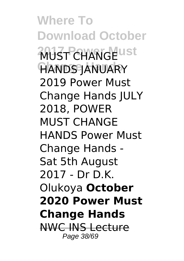**Where To Download October 2013 RUST CHANGE Change Hands** HANDS JANUARY 2019 Power Must Change Hands JULY 2018, POWER MUST CHANGE HANDS Power Must Change Hands - Sat 5th August 2017 - Dr D.K. Olukoya **October 2020 Power Must Change Hands** NWC INS Lecture Page 38/69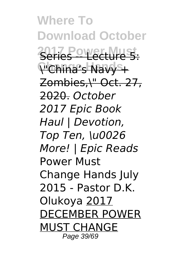**Where To Download October 2017 Power Must** Series -- Lecture 5: **Change Hands** \"China's Navy + Zombies,\" Oct. 27, 2020. *October 2017 Epic Book Haul | Devotion, Top Ten, \u0026 More! | Epic Reads* Power Must Change Hands July 2015 - Pastor D.K. Olukoya 2017 DECEMBER POWER MUST CHANGE Page 39/69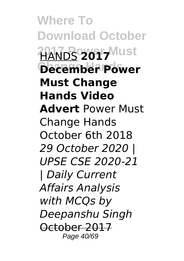**Where To Download October 2017 Power Must** HANDS **2017 Change Hands December Power Must Change Hands Video Advert** Power Must Change Hands October 6th 2018 *29 October 2020 | UPSE CSE 2020-21 | Daily Current Affairs Analysis with MCQs by Deepanshu Singh* October 2017 Page 40/69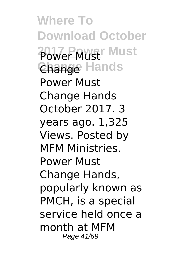**Where To Download October 2017 Power Must** Power Must **Change Hands** Change Power Must Change Hands October 2017. 3 years ago. 1,325 Views. Posted by MFM Ministries. Power Must Change Hands, popularly known as PMCH, is a special service held once a month at MFM Page 41/69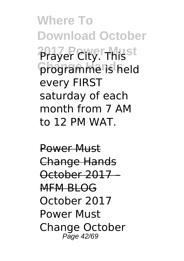**Where To Download October 2017 Power Must** Prayer City. This **programme is held** every FIRST saturday of each month from 7 AM to 12 PM WAT.

Power Must Change Hands October 2017 – MFM BLOG October 2017 Power Must Change October Page 42/69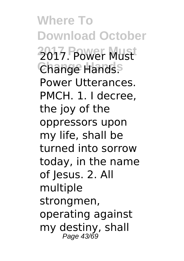**Where To Download October 2017 Power Must** 2017. Power Must **Change Hands** Change Hands. Power Utterances. PMCH. 1. I decree, the joy of the oppressors upon my life, shall be turned into sorrow today, in the name of Jesus. 2. All multiple strongmen, operating against my destiny, shall Page 43/69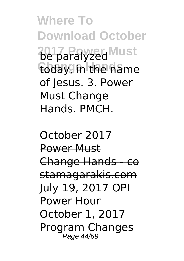**Where To Download October** 2017 Paralyzed Must today, in the name of Jesus. 3. Power Must Change Hands. PMCH.

October 2017 Power Must Change Hands - co stamagarakis.com July 19, 2017 OPI Power Hour October 1, 2017 Program Changes Page 44/69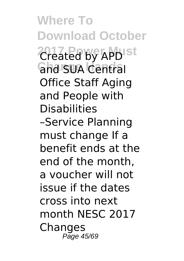**Where To Download October** 2017 Leated by APDISt **Gha SUA Central** Office Staff Aging and People with Disabilities –Service Planning must change If a benefit ends at the end of the month, a voucher will not issue if the dates cross into next month NESC 2017 **Changes** Page 45/69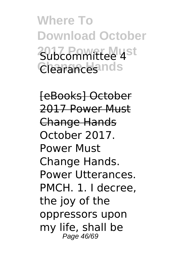**Where To Download October 2017 Power Must** Subcommittee 4 Clearances nds

[eBooks] October 2017 Power Must Change Hands October 2017. Power Must Change Hands. Power Utterances. PMCH. 1. I decree, the joy of the oppressors upon my life, shall be Page 46/69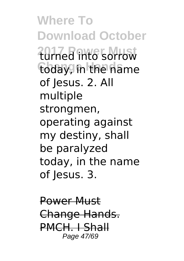**Where To Download October 2017 Power Must** turned into sorrow today, in the name of Jesus. 2. All multiple strongmen, operating against my destiny, shall be paralyzed today, in the name of Jesus. 3.

Power Must Change Hands. PMCH. I Shall Page 47/69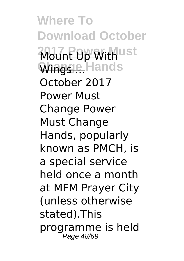**Where To Download October Mount Up With**ust **Wingse Hands** October 2017 Power Must Change Power Must Change Hands, popularly known as PMCH, is a special service held once a month at MFM Prayer City (unless otherwise stated).This programme is held Page 48/69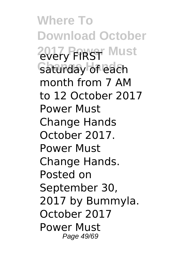**Where To Download October 2017 Power Must** every FIRST Saturday of each month from 7 AM to 12 October 2017 Power Must Change Hands October 2017. Power Must Change Hands. Posted on September 30, 2017 by Bummyla. October 2017 Power Must Page 49/69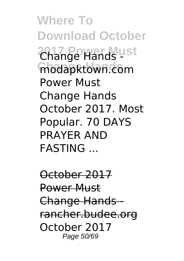**Where To Download October** 2017 Powerds ust modapktown.com Power Must Change Hands October 2017. Most Popular. 70 DAYS PRAYER AND FASTING ...

October 2017 Power Must Change Hands rancher.budee.org October 2017 Page 50/69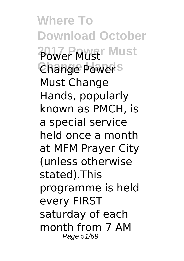**Where To Download October 2017 Power Must** Power Must Change Power<sup>s</sup> Must Change Hands, popularly known as PMCH, is a special service held once a month at MFM Prayer City (unless otherwise stated).This programme is held every FIRST saturday of each month from 7 AM Page 51/69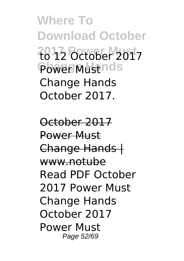**Where To Download October 2017 Power Must** to 12 October 2017 Power Must nds Change Hands October 2017.

October 2017 Power Must Change Hands | www.notube Read PDF October 2017 Power Must Change Hands October 2017 Power Must Page 52/69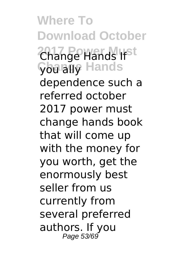**Where To Download October 2017 Power Must** Change Hands If **Çba ally** Hands dependence such a referred october 2017 power must change hands book that will come up with the money for you worth, get the enormously best seller from us currently from several preferred authors. If you Page 53/69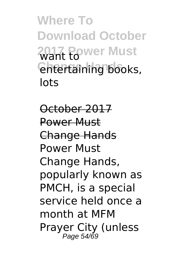**Where To Download October** 2017 Power Must *<u>Entertaining books</u>* lots

October 2017 Power Must Change Hands Power Must Change Hands, popularly known as PMCH, is a special service held once a month at MFM Prayer City (unless Page 54/69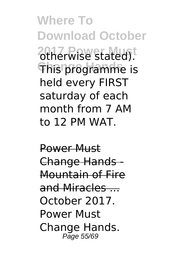**Where To Download October** 20therwise stated). **This programme is** held every FIRST saturday of each month from 7 AM to 12 PM WAT.

Power Must Change Hands - Mountain of Fire and Miracles ... October 2017. Power Must Change Hands. Page 55/69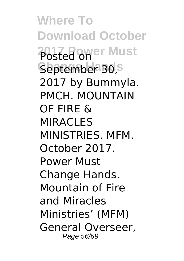**Where To Download October 2017 Posted Omer Must** September 30,s 2017 by Bummyla. PMCH. MOUNTAIN OF FIRE & MIRACI<sub>FS</sub> MINISTRIES. MFM. October 2017. Power Must Change Hands. Mountain of Fire and Miracles Ministries' (MFM) General Overseer, Page 56/69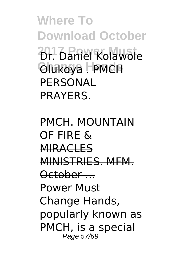**Where To Download October 2017** Daniel Kolawole **Change Hands** Olukoya . PMCH **PERSONAL PRAYERS** 

PMCH. MOUNTAIN OF FIRE & **MIRACLES** MINISTRIES. MFM. October ... Power Must Change Hands, popularly known as PMCH, is a special Page 57/69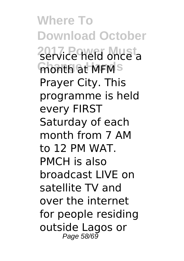**Where To Download October 2017 Power Must** service held once a **month at MFMS** Prayer City. This programme is held every FIRST Saturday of each month from 7 AM to 12 PM WAT. PMCH is also broadcast LIVE on satellite TV and over the internet for people residing outside Lagos or Page 58/69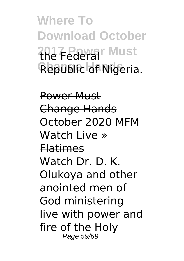**Where To Download October 2017 Power Must** the Federal Republic of Nigeria.

Power Must Change Hands October 2020 MFM Watch Live » Flatimes Watch Dr. D. K. Olukoya and other anointed men of God ministering live with power and fire of the Holy Page 59/69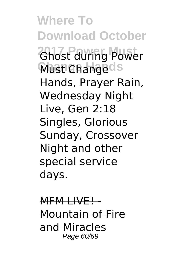**Where To Download October 2017 Power Must** Ghost during Power **Must Changeds** Hands, Prayer Rain, Wednesday Night Live, Gen 2:18 Singles, Glorious Sunday, Crossover Night and other special service days.

MFM LIVEL Mountain of Fire and Miracles Page 60/69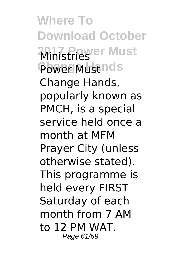**Where To Download October 2017 Prever Must** Power Must nds Change Hands, popularly known as PMCH, is a special service held once a month at MFM Prayer City (unless otherwise stated). This programme is held every FIRST Saturday of each month from 7 AM to 12 PM WAT. Page 61/69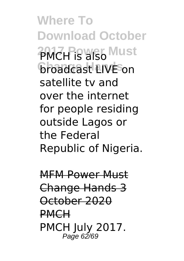**Where To Download October PMCH is also Must broadcast LIVE** on satellite tv and over the internet for people residing outside Lagos or the Federal Republic of Nigeria.

MFM Power Must Change Hands 3 October 2020 PMCH PMCH July 2017. Page 62/69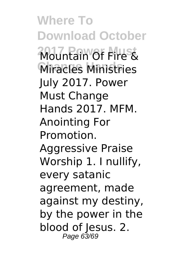**Where To Download October 2017 Power Must** Mountain Of Fire & **Change Hands** Miracles Ministries July 2017. Power Must Change Hands 2017. MFM. Anointing For Promotion. Aggressive Praise Worship 1. I nullify, every satanic agreement, made against my destiny, by the power in the blood of Jesus. 2. Page 63/69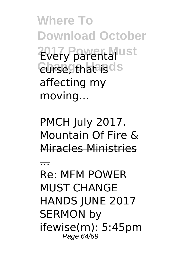**Where To Download October 2017 Power Must** Every parental **Curse, that is ds** affecting my moving…

PMCH July 2017. Mountain Of Fire & Miracles Ministries

...

Re: MFM POWER MUST CHANGE HANDS JUNE 2017 SERMON by ifewise(m): 5:45pm Page 64/69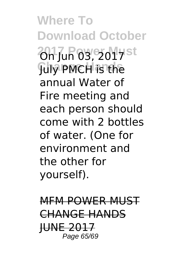**Where To Download October** 2017 Jun 03, 2017 st **July PMCH** is the annual Water of Fire meeting and each person should come with 2 bottles of water. (One for environment and the other for yourself).

MFM POWER MUST CHANGE HANDS **HUNE 201** Page 65/69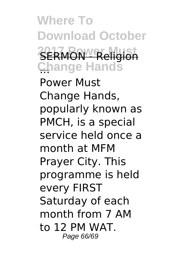**Where To Download October 2017 Religion Change Hands** ...

Power Must Change Hands, popularly known as PMCH, is a special service held once a month at MFM Prayer City. This programme is held every FIRST Saturday of each month from 7 AM to 12 PM WAT. Page 66/69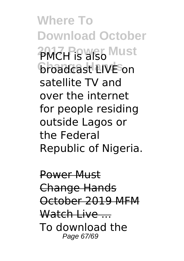**Where To Download October PMCH is also Must broadcast LIVE** on satellite TV and over the internet for people residing outside Lagos or the Federal Republic of Nigeria.

Power Must Change Hands October 2019 MFM Watch Live To download the Page 67/69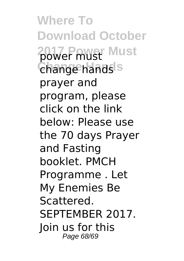**Where To Download October 2017 Power Must** power must **Change Hands** change hands prayer and program, please click on the link below: Please use the 70 days Prayer and Fasting booklet. PMCH Programme . Let My Enemies Be Scattered. SEPTEMBER 2017. Join us for this Page 68/69